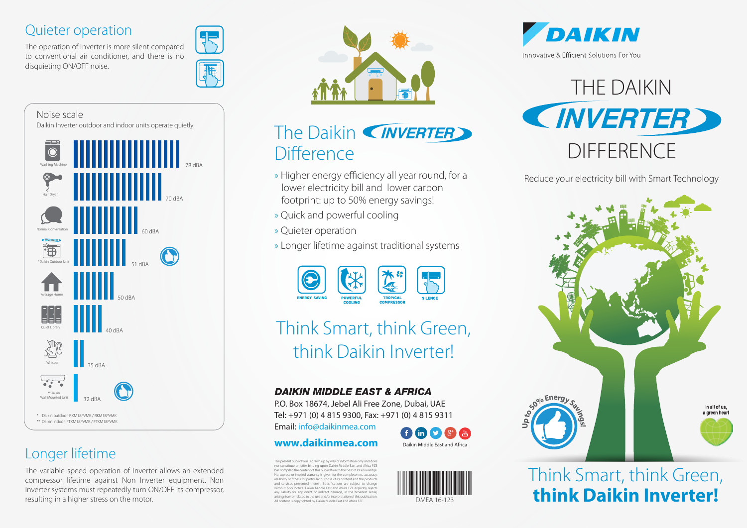### Quieter operation

The operation of Inverter is more silent compared to conventional air conditioner, and there is no disquieting ON/OFF noise.



### Noise scale Daikin Inverter outdoor and indoor units operate quietly.



## Longer lifetime

The variable speed operation of Inverter allows an extended compressor lifetime against Non Inverter equipment. Non Inverter systems must repeatedly turn ON/OFF its compressor, resulting in a higher stress on the motor.



# The Daikin (INVERTER) **Difference**

- » Higher energy efficiency all year round, for a lower electricity bill and lower carbon footprint: up to 50% energy savings!
- » Quick and powerful cooling
- » Quieter operation
- » Longer lifetime against traditional systems



# Think Smart, think Green, think Daikin Inverter!

#### **DAIKIN MIDDLE EAST & AFRICA**

P.O. Box 18674, Jebel Ali Free Zone, Dubai, UAE Tel: +971 (0) 4 815 9300, Fax: +971 (0) 4 815 9311

Email: info@daikinmea.com

#### **www.daikinmea.com** Daikin Middle East and Africa

The present publication is drawn up by way of information only and does not constitute an offer binding upon Daikin Middle East and Africa FZE has compiled the content of this publication to the best of its knowledge. No express or implied warranty is given for the completeness, accuracy reliability or fitness for particular purpose of its content and the products and services presented therein. Specifications are subject to change and services presented therein. Specifications are subject to change<br>without prior notice. Daikin Middle East and Africa FZE explicitly rejects any liability for any direct or indirect damage, in the broadest sense, arising from or related to the use and/or interpretation of this publication. arising from or related to the use and/or interpretation or this publication.<br>All content is copyrighted by Daikin Middle East and Africa FZE. DMEA 16-123





DAIKIN Innovative & Efficient Solutions For You



Reduce your electricity bill with Smart Technology



# Think Smart, think Green, **think Daikin Inverter!**